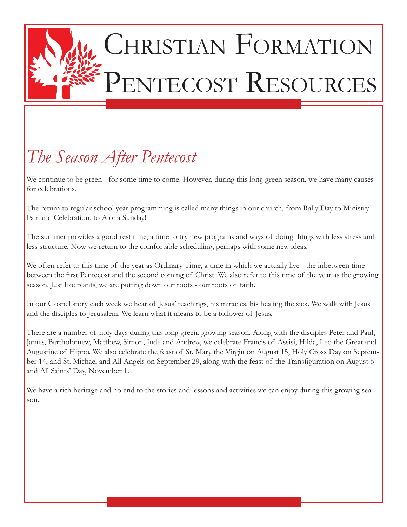

# CHRISTIAN FORMATION PENTECOST RESOURCES

# *The Season After Pentecost*

We continue to be green - for some time to come! However, during this long green season, we have many causes for celebrations.

The return to regular school year programming is called many things in our church, from Rally Day to Ministry Fair and Celebration, to Aloha Sunday!

The summer provides a good rest time, a time to try new programs and ways of doing things with less stress and less structure. Now we return to the comfortable scheduling, perhaps with some new ideas.

We often refer to this time of the year as Ordinary Time, a time in which we actually live - the inbetween time between the first Pentecost and the second coming of Christ. We also refer to this time of the year as the growing season. Just like plants, we are putting down our roots - our roots of faith.

In our Gospel story each week we hear of Jesus' teachings, his miracles, his healing the sick. We walk with Jesus and the disciples to Jerusalem. We learn what it means to be a follower of Jesus.

There are a number of holy days during this long green, growing season. Along with the disciples Peter and Paul, James, Bartholomew, Matthew, Simon, Jude and Andrew, we celebrate Francis of Assisi, Hilda, Leo the Great and Augustine of Hippo. We also celebrate the feast of St. Mary the Virgin on August 15, Holy Cross Day on September 14, and St. Michael and All Angels on September 29, along with the feast of the Transfiguration on August 6 and All Saints' Day, November 1.

We have a rich heritage and no end to the stories and lessons and activities we can enjoy during this growing season.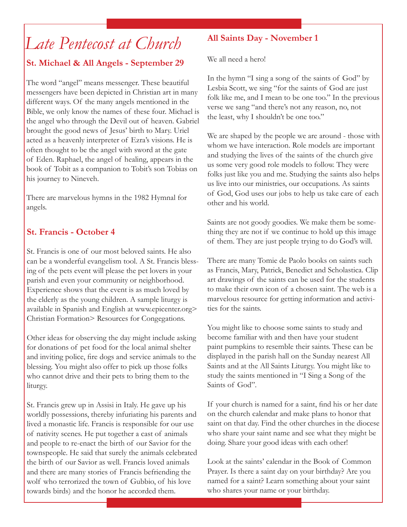# *Late Pentecost at Church*

#### **St. Michael & All Angels - September 29**

The word "angel" means messenger. These beautiful messengers have been depicted in Christian art in many different ways. Of the many angels mentioned in the Bible, we only know the names of these four. Michael is the angel who through the Devil out of heaven. Gabriel brought the good news of Jesus' birth to Mary. Uriel acted as a heavenly interpreter of Ezra's visions. He is often thought to be the angel with sword at the gate of Eden. Raphael, the angel of healing, appears in the book of Tobit as a companion to Tobit's son Tobias on his journey to Nineveh.

There are marvelous hymns in the 1982 Hymnal for angels.

#### **St. Francis - October 4**

St. Francis is one of our most beloved saints. He also can be a wonderful evangelism tool. A St. Francis blessing of the pets event will please the pet lovers in your parish and even your community or neighborhood. Experience shows that the event is as much loved by the elderly as the young children. A sample liturgy is available in Spanish and English at www.epicenter.org> Christian Formation> Resources for Congegations.

Other ideas for observing the day might include asking for donations of pet food for the local animal shelter and inviting police, fire dogs and service animals to the blessing. You might also offer to pick up those folks who cannot drive and their pets to bring them to the liturgy.

St. Francis grew up in Assisi in Italy. He gave up his worldly possessions, thereby infuriating his parents and lived a monastic life. Francis is responsible for our use of nativity scenes. He put together a cast of animals and people to re-enact the birth of our Savior for the townspeople. He said that surely the animals celebrated the birth of our Savior as well. Francis loved animals and there are many stories of Francis befriending the wolf who terrorized the town of Gubbio, of his love towards birds) and the honor he accorded them.

#### **All Saints Day - November 1**

We all need a hero!

In the hymn "I sing a song of the saints of God" by Lesbia Scott, we sing "for the saints of God are just folk like me, and I mean to be one too." In the previous verse we sang "and there's not any reason, no, not the least, why I shouldn't be one too."

We are shaped by the people we are around - those with whom we have interaction. Role models are important and studying the lives of the saints of the church give us some very good role models to follow. They were folks just like you and me. Studying the saints also helps us live into our ministries, our occupations. As saints of God, God uses our jobs to help us take care of each other and his world.

Saints are not goody goodies. We make them be something they are not if we continue to hold up this image of them. They are just people trying to do God's will.

There are many Tomie de Paolo books on saints such as Francis, Mary, Patrick, Benedict and Scholastica. Clip art drawings of the saints can be used for the students to make their own icon of a chosen saint. The web is a marvelous resource for getting information and activities for the saints.

You might like to choose some saints to study and become familiar with and then have your student paint pumpkins to resemble their saints. These can be displayed in the parish hall on the Sunday nearest All Saints and at the All Saints Liturgy. You might like to study the saints mentioned in "I Sing a Song of the Saints of God".

If your church is named for a saint, find his or her date on the church calendar and make plans to honor that saint on that day. Find the other churches in the diocese who share your saint name and see what they might be doing. Share your good ideas with each other!

Look at the saints' calendar in the Book of Common Prayer. Is there a saint day on your birthday? Are you named for a saint? Learn something about your saint who shares your name or your birthday.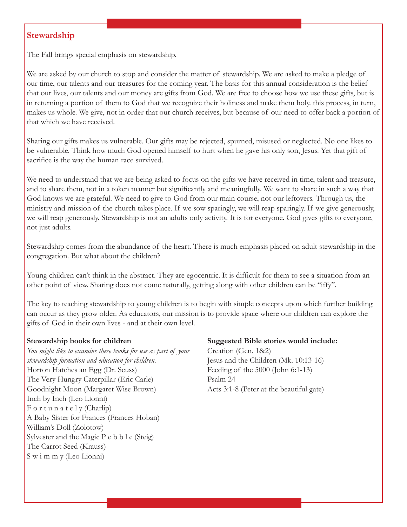#### **Stewardship**

The Fall brings special emphasis on stewardship.

We are asked by our church to stop and consider the matter of stewardship. We are asked to make a pledge of our time, our talents and our treasures for the coming year. The basis for this annual consideration is the belief that our lives, our talents and our money are gifts from God. We are free to choose how we use these gifts, but is in returning a portion of them to God that we recognize their holiness and make them holy. this process, in turn, makes us whole. We give, not in order that our church receives, but because of our need to offer back a portion of that which we have received.

Sharing our gifts makes us vulnerable. Our gifts may be rejected, spurned, misused or neglected. No one likes to be vulnerable. Think how much God opened himself to hurt when he gave his only son, Jesus. Yet that gift of sacrifice is the way the human race survived.

We need to understand that we are being asked to focus on the gifts we have received in time, talent and treasure, and to share them, not in a token manner but significantly and meaningfully. We want to share in such a way that God knows we are grateful. We need to give to God from our main course, not our leftovers. Through us, the ministry and mission of the church takes place. If we sow sparingly, we will reap sparingly. If we give generously, we will reap generously. Stewardship is not an adults only activity. It is for everyone. God gives gifts to everyone, not just adults.

Stewardship comes from the abundance of the heart. There is much emphasis placed on adult stewardship in the congregation. But what about the children?

Young children can't think in the abstract. They are egocentric. It is difficult for them to see a situation from another point of view. Sharing does not come naturally, getting along with other children can be "iffy".

The key to teaching stewardship to young children is to begin with simple concepts upon which further building can occur as they grow older. As educators, our mission is to provide space where our children can explore the gifts of God in their own lives - and at their own level.

#### **Stewardship books for children**

*You might like to examine these books for use as part of your stewardship formation and education for children.* Horton Hatches an Egg (Dr. Seuss) The Very Hungry Caterpillar (Eric Carle) Goodnight Moon (Margaret Wise Brown) Inch by Inch (Leo Lionni)  $F$  o r t u n a t e l y (Charlip) A Baby Sister for Frances (Frances Hoban) William's Doll (Zolotow) Sylvester and the Magic P e b b l e (Steig) The Carrot Seed (Krauss) S w i m m y (Leo Lionni)

#### **Suggested Bible stories would include:**

Creation (Gen. 1&2) Jesus and the Children (Mk. 10:13-16) Feeding of the 5000 (John 6:1-13) Psalm 24 Acts 3:1-8 (Peter at the beautiful gate)